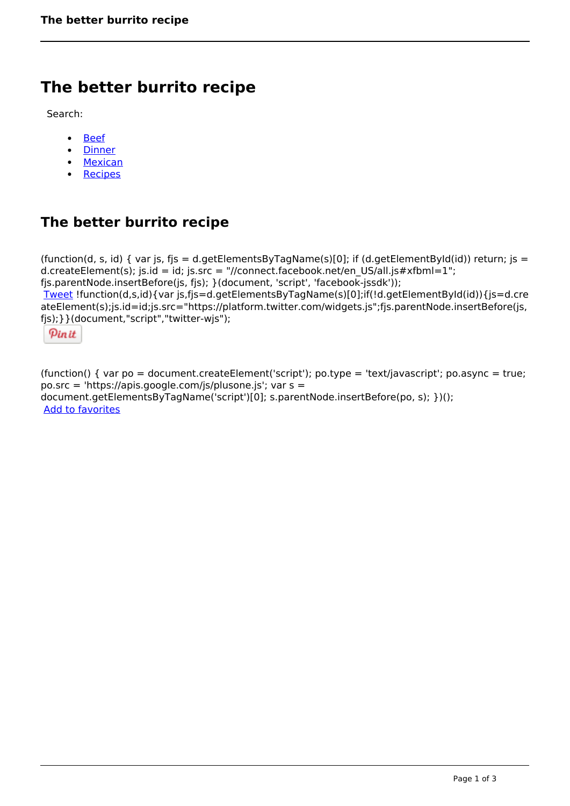## **The better burrito recipe**

Search:

- [Beef](https://www.naturalhealthmag.com.au/nourish/beef)  $\bullet$
- [Dinner](https://www.naturalhealthmag.com.au/nourish/dinner-ideas)
- [Mexican](https://www.naturalhealthmag.com.au/nourish/mexican)
- [Recipes](https://www.naturalhealthmag.com.au/nourish/recipes)

## **The better burrito recipe**

(function(d, s, id) { var js, fjs = d.getElementsByTagName(s)[0]; if (d.getElementById(id)) return; js = d.createElement(s); js.id = id; js.src = "//connect.facebook.net/en\_US/all.js#xfbml=1"; fjs.parentNode.insertBefore(js, fjs); }(document, 'script', 'facebook-jssdk')); [Tweet](https://twitter.com/share) !function(d,s,id){var js,fjs=d.getElementsByTagName(s)[0];if(!d.getElementById(id)){js=d.cre ateElement(s);js.id=id;js.src="https://platform.twitter.com/widgets.js";fjs.parentNode.insertBefore(js, fjs);}}(document,"script","twitter-wjs");

Pinit

(function() { var po = document.createElement('script'); po.type = 'text/javascript'; po.async = true; po.src = 'https://apis.google.com/js/plusone.js'; var s = document.getElementsByTagName('script')[0]; s.parentNode.insertBefore(po, s); })(); Add to favorites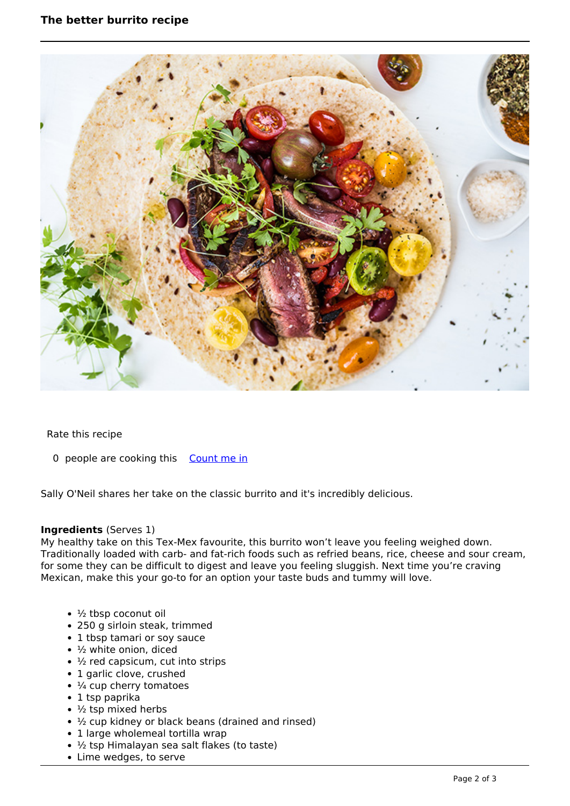

Rate this recipe

0 people are cooking this [Count me in](https://www.naturalhealthmag.com.au/flag/flag/favorites/2413?destination=printpdf%2F2413&token=de854334420ee95b411ad1f8756d469d)

Sally O'Neil shares her take on the classic burrito and it's incredibly delicious.

## **Ingredients** (Serves 1)

My healthy take on this Tex-Mex favourite, this burrito won't leave you feeling weighed down. Traditionally loaded with carb- and fat-rich foods such as refried beans, rice, cheese and sour cream, for some they can be difficult to digest and leave you feeling sluggish. Next time you're craving Mexican, make this your go-to for an option your taste buds and tummy will love.

- $\cdot$   $\frac{1}{2}$  tbsp coconut oil
- 250 g sirloin steak, trimmed
- 1 tbsp tamari or soy sauce
- $\cdot$  1/<sub>2</sub> white onion, diced
- ½ red capsicum, cut into strips
- 1 garlic clove, crushed
- $\cdot$   $\frac{1}{4}$  cup cherry tomatoes
- 1 tsp paprika
- $\cdot$  1/<sub>2</sub> tsp mixed herbs
- ½ cup kidney or black beans (drained and rinsed)
- 1 large wholemeal tortilla wrap
- ½ tsp Himalayan sea salt flakes (to taste)
- Lime wedges, to serve